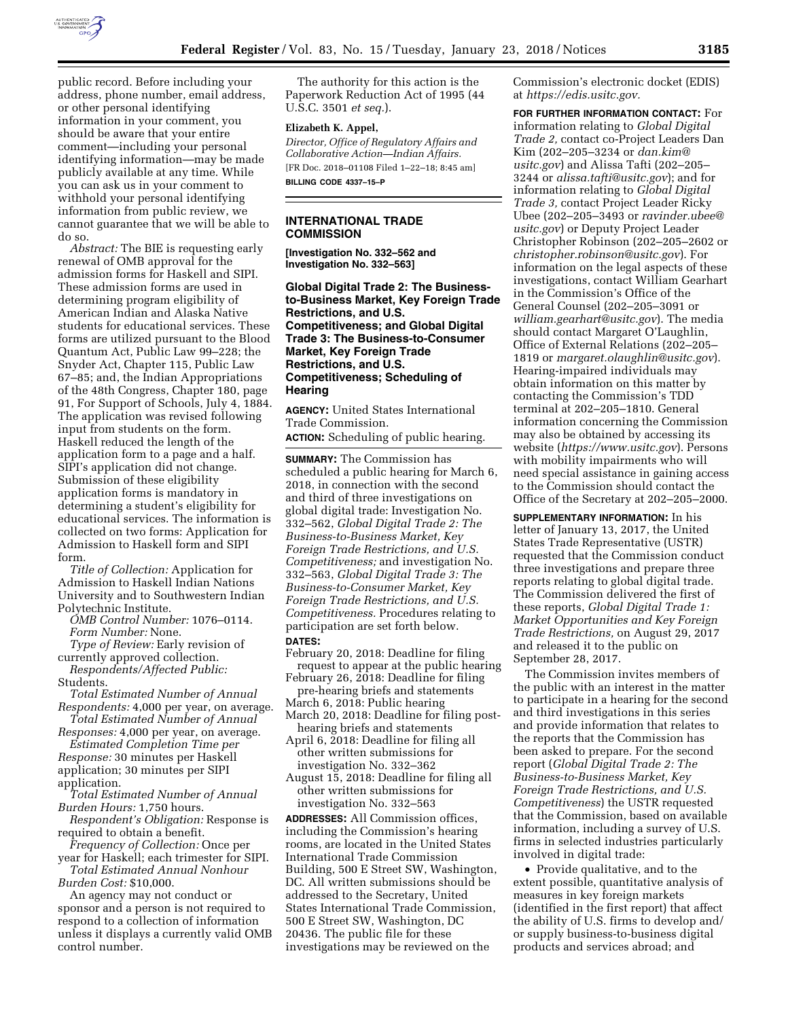

public record. Before including your address, phone number, email address, or other personal identifying information in your comment, you should be aware that your entire comment—including your personal identifying information—may be made publicly available at any time. While you can ask us in your comment to withhold your personal identifying information from public review, we cannot guarantee that we will be able to do so.

*Abstract:* The BIE is requesting early renewal of OMB approval for the admission forms for Haskell and SIPI. These admission forms are used in determining program eligibility of American Indian and Alaska Native students for educational services. These forms are utilized pursuant to the Blood Quantum Act, Public Law 99–228; the Snyder Act, Chapter 115, Public Law 67–85; and, the Indian Appropriations of the 48th Congress, Chapter 180, page 91, For Support of Schools, July 4, 1884. The application was revised following input from students on the form. Haskell reduced the length of the application form to a page and a half. SIPI's application did not change. Submission of these eligibility application forms is mandatory in determining a student's eligibility for educational services. The information is collected on two forms: Application for Admission to Haskell form and SIPI form.

*Title of Collection:* Application for Admission to Haskell Indian Nations University and to Southwestern Indian Polytechnic Institute.

*OMB Control Number:* 1076–0114. *Form Number:* None.

*Type of Review:* Early revision of currently approved collection.

*Respondents/Affected Public:*  Students.

*Total Estimated Number of Annual Respondents:* 4,000 per year, on average.

*Total Estimated Number of Annual Responses:* 4,000 per year, on average. *Estimated Completion Time per* 

*Response:* 30 minutes per Haskell application; 30 minutes per SIPI application.

*Total Estimated Number of Annual Burden Hours:* 1,750 hours.

*Respondent's Obligation:* Response is required to obtain a benefit.

*Frequency of Collection:* Once per year for Haskell; each trimester for SIPI.

*Total Estimated Annual Nonhour Burden Cost:* \$10,000.

An agency may not conduct or sponsor and a person is not required to respond to a collection of information unless it displays a currently valid OMB control number.

The authority for this action is the Paperwork Reduction Act of 1995 (44 U.S.C. 3501 *et seq.*).

## **Elizabeth K. Appel,**

*Director, Office of Regulatory Affairs and Collaborative Action—Indian Affairs.*  [FR Doc. 2018–01108 Filed 1–22–18; 8:45 am] **BILLING CODE 4337–15–P** 

## **INTERNATIONAL TRADE COMMISSION**

**[Investigation No. 332–562 and Investigation No. 332–563]** 

**Global Digital Trade 2: The Businessto-Business Market, Key Foreign Trade Restrictions, and U.S. Competitiveness; and Global Digital Trade 3: The Business-to-Consumer Market, Key Foreign Trade Restrictions, and U.S. Competitiveness; Scheduling of Hearing** 

**AGENCY:** United States International Trade Commission.

**ACTION:** Scheduling of public hearing.

**SUMMARY:** The Commission has scheduled a public hearing for March 6, 2018, in connection with the second and third of three investigations on global digital trade: Investigation No. 332–562, *Global Digital Trade 2: The Business-to-Business Market, Key Foreign Trade Restrictions, and U.S. Competitiveness;* and investigation No. 332–563, *Global Digital Trade 3: The Business-to-Consumer Market, Key Foreign Trade Restrictions, and U.S. Competitiveness.* Procedures relating to participation are set forth below. **DATES:** 

- February 20, 2018: Deadline for filing request to appear at the public hearing
- February 26, 2018: Deadline for filing pre-hearing briefs and statements
- March 6, 2018: Public hearing
- March 20, 2018: Deadline for filing posthearing briefs and statements
- April 6, 2018: Deadline for filing all other written submissions for investigation No. 332–362
- August 15, 2018: Deadline for filing all other written submissions for investigation No. 332–563

**ADDRESSES:** All Commission offices, including the Commission's hearing rooms, are located in the United States International Trade Commission Building, 500 E Street SW, Washington, DC. All written submissions should be addressed to the Secretary, United States International Trade Commission, 500 E Street SW, Washington, DC 20436. The public file for these investigations may be reviewed on the

Commission's electronic docket (EDIS) at *[https://edis.usitc.gov.](https://edis.usitc.gov)* 

**FOR FURTHER INFORMATION CONTACT:** For information relating to *Global Digital Trade 2,* contact co-Project Leaders Dan Kim (202–205–3234 or *[dan.kim@](mailto:dan.kim@usitc.gov) [usitc.gov](mailto:dan.kim@usitc.gov)*) and Alissa Tafti (202–205– 3244 or *[alissa.tafti@usitc.gov](mailto:alissa.tafti@usitc.gov)*); and for information relating to *Global Digital Trade 3,* contact Project Leader Ricky Ubee (202–205–3493 or *[ravinder.ubee@](mailto:ravinder.ubee@usitc.gov) [usitc.gov](mailto:ravinder.ubee@usitc.gov)*) or Deputy Project Leader Christopher Robinson (202–205–2602 or *[christopher.robinson@usitc.gov](mailto:christopher.robinson@usitc.gov)*). For information on the legal aspects of these investigations, contact William Gearhart in the Commission's Office of the General Counsel (202–205–3091 or *[william.gearhart@usitc.gov](mailto:william.gearhart@usitc.gov)*). The media should contact Margaret O'Laughlin, Office of External Relations (202–205– 1819 or *[margaret.olaughlin@usitc.gov](mailto:margaret.olaughlin@usitc.gov)*). Hearing-impaired individuals may obtain information on this matter by contacting the Commission's TDD terminal at 202–205–1810. General information concerning the Commission may also be obtained by accessing its website (*<https://www.usitc.gov>*). Persons with mobility impairments who will need special assistance in gaining access to the Commission should contact the Office of the Secretary at 202–205–2000.

**SUPPLEMENTARY INFORMATION:** In his letter of January 13, 2017, the United States Trade Representative (USTR) requested that the Commission conduct three investigations and prepare three reports relating to global digital trade. The Commission delivered the first of these reports, *Global Digital Trade 1: Market Opportunities and Key Foreign Trade Restrictions,* on August 29, 2017 and released it to the public on September 28, 2017.

The Commission invites members of the public with an interest in the matter to participate in a hearing for the second and third investigations in this series and provide information that relates to the reports that the Commission has been asked to prepare. For the second report (*Global Digital Trade 2: The Business-to-Business Market, Key Foreign Trade Restrictions, and U.S. Competitiveness*) the USTR requested that the Commission, based on available information, including a survey of U.S. firms in selected industries particularly involved in digital trade:

• Provide qualitative, and to the extent possible, quantitative analysis of measures in key foreign markets (identified in the first report) that affect the ability of U.S. firms to develop and/ or supply business-to-business digital products and services abroad; and